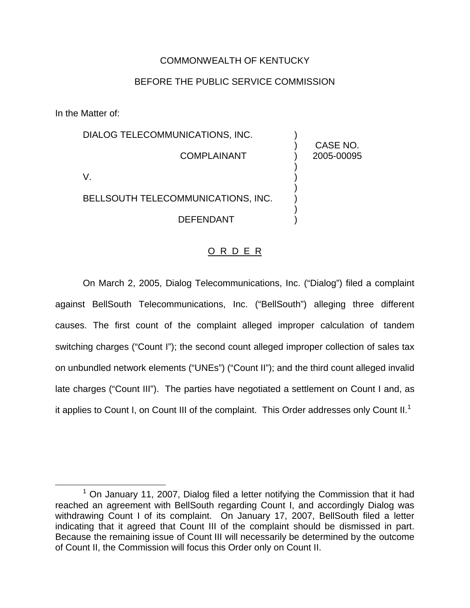## COMMONWEALTH OF KENTUCKY

## BEFORE THE PUBLIC SERVICE COMMISSION

In the Matter of:

| DIALOG TELECOMMUNICATIONS, INC.    |                        |
|------------------------------------|------------------------|
| <b>COMPLAINANT</b>                 | CASE NO.<br>2005-00095 |
|                                    |                        |
| BELLSOUTH TELECOMMUNICATIONS, INC. |                        |
| DEFENDANT                          |                        |

## O R D E R

On March 2, 2005, Dialog Telecommunications, Inc. ("Dialog") filed a complaint against BellSouth Telecommunications, Inc. ("BellSouth") alleging three different causes. The first count of the complaint alleged improper calculation of tandem switching charges ("Count I"); the second count alleged improper collection of sales tax on unbundled network elements ("UNEs") ("Count II"); and the third count alleged invalid late charges ("Count III"). The parties have negotiated a settlement on Count I and, as it applies to Count I, on Count III of the complaint. This Order addresses only Count II.<sup>1</sup>

 $1$  On January 11, 2007, Dialog filed a letter notifying the Commission that it had reached an agreement with BellSouth regarding Count I, and accordingly Dialog was withdrawing Count I of its complaint. On January 17, 2007, BellSouth filed a letter indicating that it agreed that Count III of the complaint should be dismissed in part. Because the remaining issue of Count III will necessarily be determined by the outcome of Count II, the Commission will focus this Order only on Count II.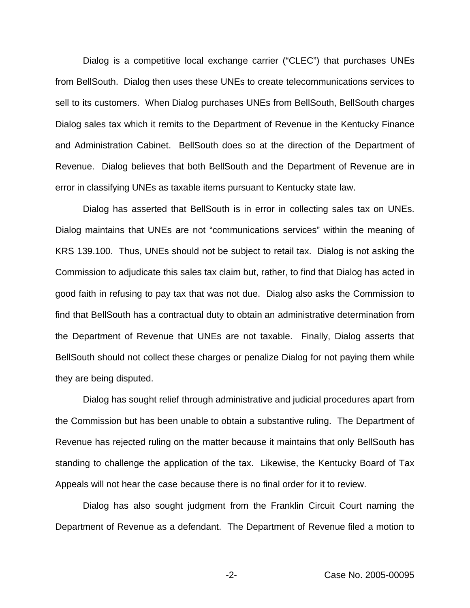Dialog is a competitive local exchange carrier ("CLEC") that purchases UNEs from BellSouth. Dialog then uses these UNEs to create telecommunications services to sell to its customers. When Dialog purchases UNEs from BellSouth, BellSouth charges Dialog sales tax which it remits to the Department of Revenue in the Kentucky Finance and Administration Cabinet. BellSouth does so at the direction of the Department of Revenue. Dialog believes that both BellSouth and the Department of Revenue are in error in classifying UNEs as taxable items pursuant to Kentucky state law.

Dialog has asserted that BellSouth is in error in collecting sales tax on UNEs. Dialog maintains that UNEs are not "communications services" within the meaning of KRS 139.100. Thus, UNEs should not be subject to retail tax. Dialog is not asking the Commission to adjudicate this sales tax claim but, rather, to find that Dialog has acted in good faith in refusing to pay tax that was not due. Dialog also asks the Commission to find that BellSouth has a contractual duty to obtain an administrative determination from the Department of Revenue that UNEs are not taxable. Finally, Dialog asserts that BellSouth should not collect these charges or penalize Dialog for not paying them while they are being disputed.

Dialog has sought relief through administrative and judicial procedures apart from the Commission but has been unable to obtain a substantive ruling. The Department of Revenue has rejected ruling on the matter because it maintains that only BellSouth has standing to challenge the application of the tax. Likewise, the Kentucky Board of Tax Appeals will not hear the case because there is no final order for it to review.

Dialog has also sought judgment from the Franklin Circuit Court naming the Department of Revenue as a defendant. The Department of Revenue filed a motion to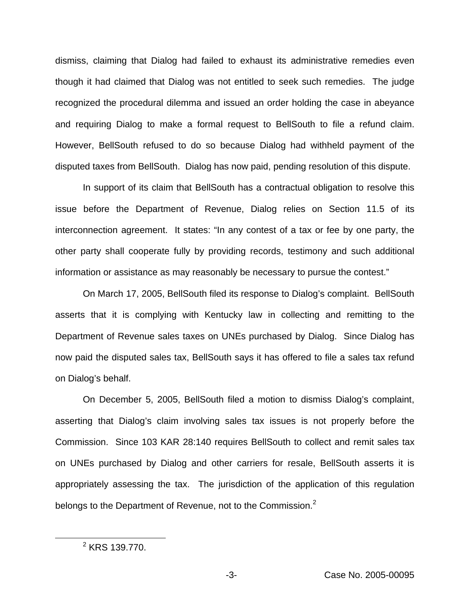dismiss, claiming that Dialog had failed to exhaust its administrative remedies even though it had claimed that Dialog was not entitled to seek such remedies. The judge recognized the procedural dilemma and issued an order holding the case in abeyance and requiring Dialog to make a formal request to BellSouth to file a refund claim. However, BellSouth refused to do so because Dialog had withheld payment of the disputed taxes from BellSouth. Dialog has now paid, pending resolution of this dispute.

In support of its claim that BellSouth has a contractual obligation to resolve this issue before the Department of Revenue, Dialog relies on Section 11.5 of its interconnection agreement. It states: "In any contest of a tax or fee by one party, the other party shall cooperate fully by providing records, testimony and such additional information or assistance as may reasonably be necessary to pursue the contest."

On March 17, 2005, BellSouth filed its response to Dialog's complaint. BellSouth asserts that it is complying with Kentucky law in collecting and remitting to the Department of Revenue sales taxes on UNEs purchased by Dialog. Since Dialog has now paid the disputed sales tax, BellSouth says it has offered to file a sales tax refund on Dialog's behalf.

On December 5, 2005, BellSouth filed a motion to dismiss Dialog's complaint, asserting that Dialog's claim involving sales tax issues is not properly before the Commission. Since 103 KAR 28:140 requires BellSouth to collect and remit sales tax on UNEs purchased by Dialog and other carriers for resale, BellSouth asserts it is appropriately assessing the tax. The jurisdiction of the application of this regulation belongs to the Department of Revenue, not to the Commission.<sup>2</sup>

<sup>2</sup> KRS 139.770.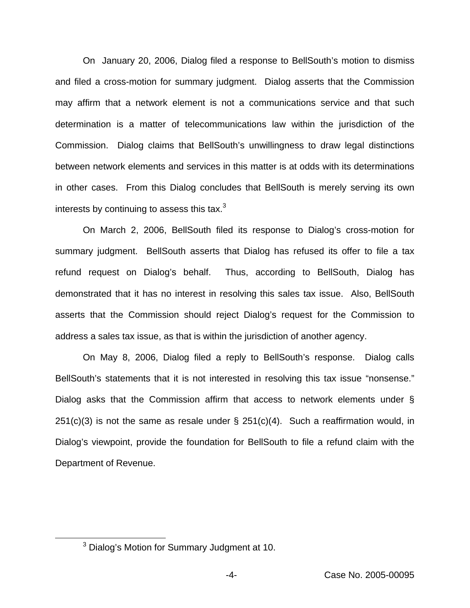On January 20, 2006, Dialog filed a response to BellSouth's motion to dismiss and filed a cross-motion for summary judgment. Dialog asserts that the Commission may affirm that a network element is not a communications service and that such determination is a matter of telecommunications law within the jurisdiction of the Commission. Dialog claims that BellSouth's unwillingness to draw legal distinctions between network elements and services in this matter is at odds with its determinations in other cases. From this Dialog concludes that BellSouth is merely serving its own interests by continuing to assess this tax. $3$ 

On March 2, 2006, BellSouth filed its response to Dialog's cross-motion for summary judgment. BellSouth asserts that Dialog has refused its offer to file a tax refund request on Dialog's behalf. Thus, according to BellSouth, Dialog has demonstrated that it has no interest in resolving this sales tax issue. Also, BellSouth asserts that the Commission should reject Dialog's request for the Commission to address a sales tax issue, as that is within the jurisdiction of another agency.

On May 8, 2006, Dialog filed a reply to BellSouth's response. Dialog calls BellSouth's statements that it is not interested in resolving this tax issue "nonsense." Dialog asks that the Commission affirm that access to network elements under §  $251(c)(3)$  is not the same as resale under §  $251(c)(4)$ . Such a reaffirmation would, in Dialog's viewpoint, provide the foundation for BellSouth to file a refund claim with the Department of Revenue.

<sup>&</sup>lt;sup>3</sup> Dialog's Motion for Summary Judgment at 10.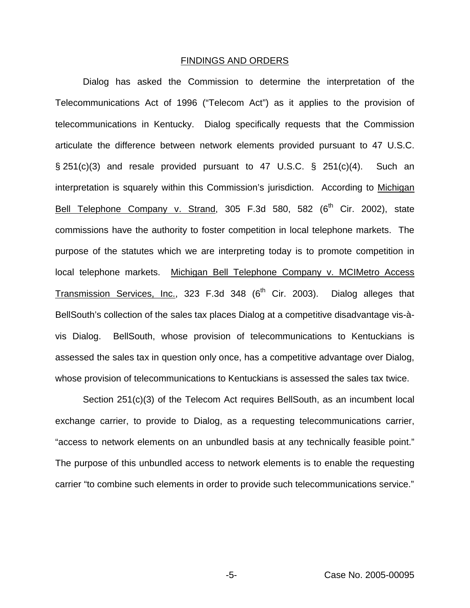## FINDINGS AND ORDERS

Dialog has asked the Commission to determine the interpretation of the Telecommunications Act of 1996 ("Telecom Act") as it applies to the provision of telecommunications in Kentucky. Dialog specifically requests that the Commission articulate the difference between network elements provided pursuant to 47 U.S.C. § 251(c)(3) and resale provided pursuant to 47 U.S.C. § 251(c)(4). Such an interpretation is squarely within this Commission's jurisdiction. According to Michigan Bell Telephone Company v. Strand, 305 F.3d 580, 582 (6<sup>th</sup> Cir. 2002), state commissions have the authority to foster competition in local telephone markets. The purpose of the statutes which we are interpreting today is to promote competition in local telephone markets. Michigan Bell Telephone Company v. MCIMetro Access Transmission Services, Inc., 323 F.3d 348  $(6<sup>th</sup>$  Cir. 2003). Dialog alleges that BellSouth's collection of the sales tax places Dialog at a competitive disadvantage vis-àvis Dialog. BellSouth, whose provision of telecommunications to Kentuckians is assessed the sales tax in question only once, has a competitive advantage over Dialog, whose provision of telecommunications to Kentuckians is assessed the sales tax twice.

Section 251(c)(3) of the Telecom Act requires BellSouth, as an incumbent local exchange carrier, to provide to Dialog, as a requesting telecommunications carrier, "access to network elements on an unbundled basis at any technically feasible point." The purpose of this unbundled access to network elements is to enable the requesting carrier "to combine such elements in order to provide such telecommunications service."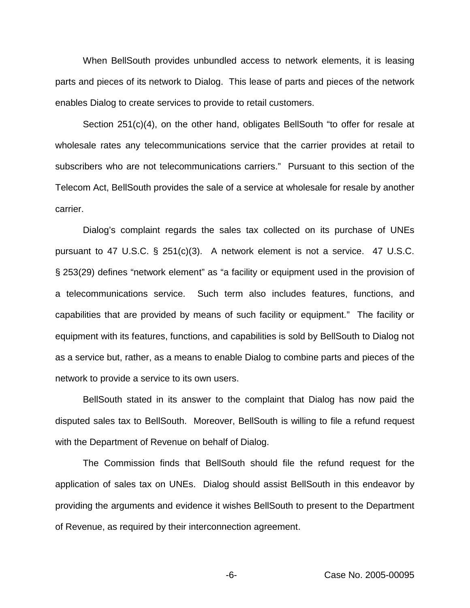When BellSouth provides unbundled access to network elements, it is leasing parts and pieces of its network to Dialog. This lease of parts and pieces of the network enables Dialog to create services to provide to retail customers.

Section 251(c)(4), on the other hand, obligates BellSouth "to offer for resale at wholesale rates any telecommunications service that the carrier provides at retail to subscribers who are not telecommunications carriers." Pursuant to this section of the Telecom Act, BellSouth provides the sale of a service at wholesale for resale by another carrier.

Dialog's complaint regards the sales tax collected on its purchase of UNEs pursuant to 47 U.S.C. § 251(c)(3). A network element is not a service. 47 U.S.C. § 253(29) defines "network element" as "a facility or equipment used in the provision of a telecommunications service. Such term also includes features, functions, and capabilities that are provided by means of such facility or equipment." The facility or equipment with its features, functions, and capabilities is sold by BellSouth to Dialog not as a service but, rather, as a means to enable Dialog to combine parts and pieces of the network to provide a service to its own users.

BellSouth stated in its answer to the complaint that Dialog has now paid the disputed sales tax to BellSouth. Moreover, BellSouth is willing to file a refund request with the Department of Revenue on behalf of Dialog.

The Commission finds that BellSouth should file the refund request for the application of sales tax on UNEs. Dialog should assist BellSouth in this endeavor by providing the arguments and evidence it wishes BellSouth to present to the Department of Revenue, as required by their interconnection agreement.